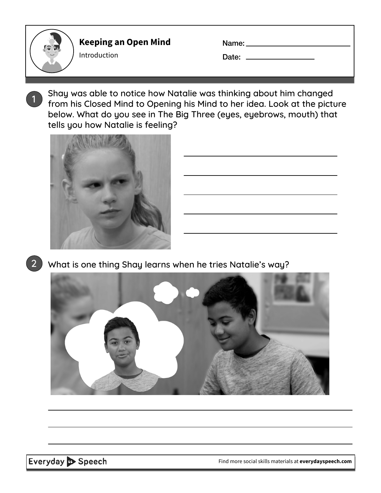

**Keeping an Open Mind** Introduction

| Name: |  |
|-------|--|

Date:

1 Shay was able to notice how Natalie was thinking about him changed from his Closed Mind to Opening his Mind to her idea. Look at the picture below. What do you see in The Big Three (eyes, eyebrows, mouth) that tells you how Natalie is feeling?



 $\sim$  2  $\,$  What is one thing Shay learns when he tries Natalie's way?



Everyday Speech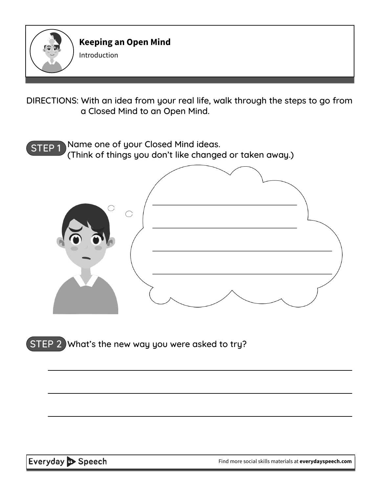

**Keeping an Open Mind** Introduction

DIRECTIONS: With an idea from your real life, walk through the steps to go from a Closed Mind to an Open Mind.

STEP 1 Name one of your Closed Mind ideas. (Think of things you don't like changed or taken away.)  $\bigcirc$ 

STEP 2 What's the new way you were asked to try?

Everyday Speech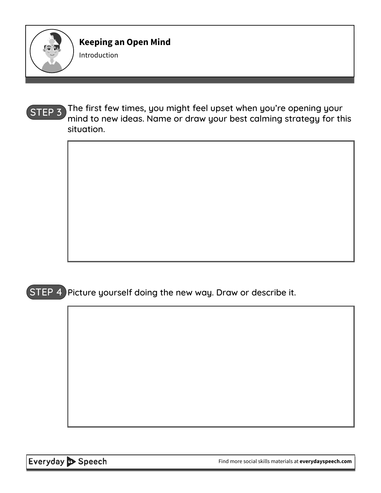

**Keeping an Open Mind**

Introduction



STEP 4 Picture yourself doing the new way. Draw or describe it.

Everyday Speech